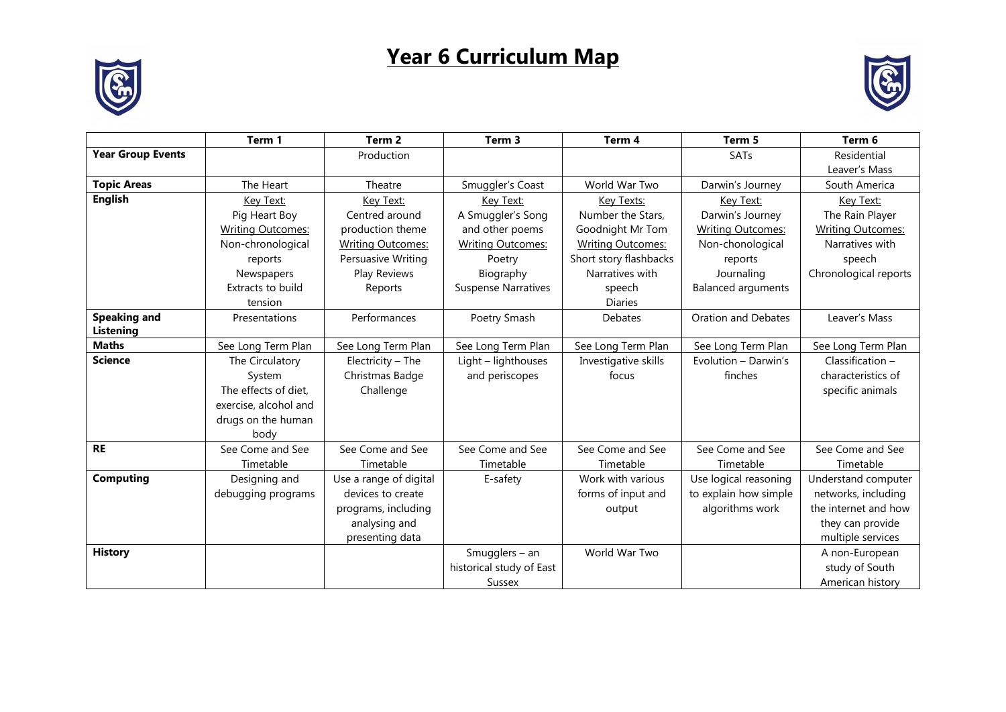## **Year 6 Curriculum Map**





|                          | Term 1                   | Term <sub>2</sub>        | Term <sub>3</sub>          | Term 4                   | Term 5                    | Term 6                   |
|--------------------------|--------------------------|--------------------------|----------------------------|--------------------------|---------------------------|--------------------------|
| <b>Year Group Events</b> |                          | Production               |                            |                          | SATs                      | Residential              |
|                          |                          |                          |                            |                          |                           | Leaver's Mass            |
| <b>Topic Areas</b>       | The Heart                | Theatre                  | Smuggler's Coast           | World War Two            | Darwin's Journey          | South America            |
| <b>English</b>           | Key Text:                | Key Text:                | Key Text:                  | Key Texts:               | Key Text:                 | Key Text:                |
|                          | Pig Heart Boy            | Centred around           | A Smuggler's Song          | Number the Stars.        | Darwin's Journey          | The Rain Player          |
|                          | <b>Writing Outcomes:</b> | production theme         | and other poems            | Goodnight Mr Tom         | <b>Writing Outcomes:</b>  | <b>Writing Outcomes:</b> |
|                          | Non-chronological        | <b>Writing Outcomes:</b> | <b>Writing Outcomes:</b>   | <b>Writing Outcomes:</b> | Non-chonological          | Narratives with          |
|                          | reports                  | Persuasive Writing       | Poetry                     | Short story flashbacks   | reports                   | speech                   |
|                          | Newspapers               | Play Reviews             | Biography                  | Narratives with          | Journaling                | Chronological reports    |
|                          | Extracts to build        | Reports                  | <b>Suspense Narratives</b> | speech                   | <b>Balanced arguments</b> |                          |
|                          | tension                  |                          |                            | <b>Diaries</b>           |                           |                          |
| <b>Speaking and</b>      | Presentations            | Performances             | Poetry Smash               | Debates                  | Oration and Debates       | Leaver's Mass            |
| Listening                |                          |                          |                            |                          |                           |                          |
| <b>Maths</b>             | See Long Term Plan       | See Long Term Plan       | See Long Term Plan         | See Long Term Plan       | See Long Term Plan        | See Long Term Plan       |
| <b>Science</b>           | The Circulatory          | Electricity - The        | Light - lighthouses        | Investigative skills     | Evolution - Darwin's      | $Classification -$       |
|                          | System                   | Christmas Badge          | and periscopes             | focus                    | finches                   | characteristics of       |
|                          | The effects of diet,     | Challenge                |                            |                          |                           | specific animals         |
|                          | exercise, alcohol and    |                          |                            |                          |                           |                          |
|                          | drugs on the human       |                          |                            |                          |                           |                          |
|                          | body                     |                          |                            |                          |                           |                          |
| <b>RE</b>                | See Come and See         | See Come and See         | See Come and See           | See Come and See         | See Come and See          | See Come and See         |
|                          | Timetable                | Timetable                | Timetable                  | Timetable                | Timetable                 | Timetable                |
| <b>Computing</b>         | Designing and            | Use a range of digital   | E-safety                   | Work with various        | Use logical reasoning     | Understand computer      |
|                          | debugging programs       | devices to create        |                            | forms of input and       | to explain how simple     | networks, including      |
|                          |                          | programs, including      |                            | output                   | algorithms work           | the internet and how     |
|                          |                          | analysing and            |                            |                          |                           | they can provide         |
|                          |                          | presenting data          |                            |                          |                           | multiple services        |
| <b>History</b>           |                          |                          | Smugglers - an             | World War Two            |                           | A non-European           |
|                          |                          |                          | historical study of East   |                          |                           | study of South           |
|                          |                          |                          | <b>Sussex</b>              |                          |                           | American history         |